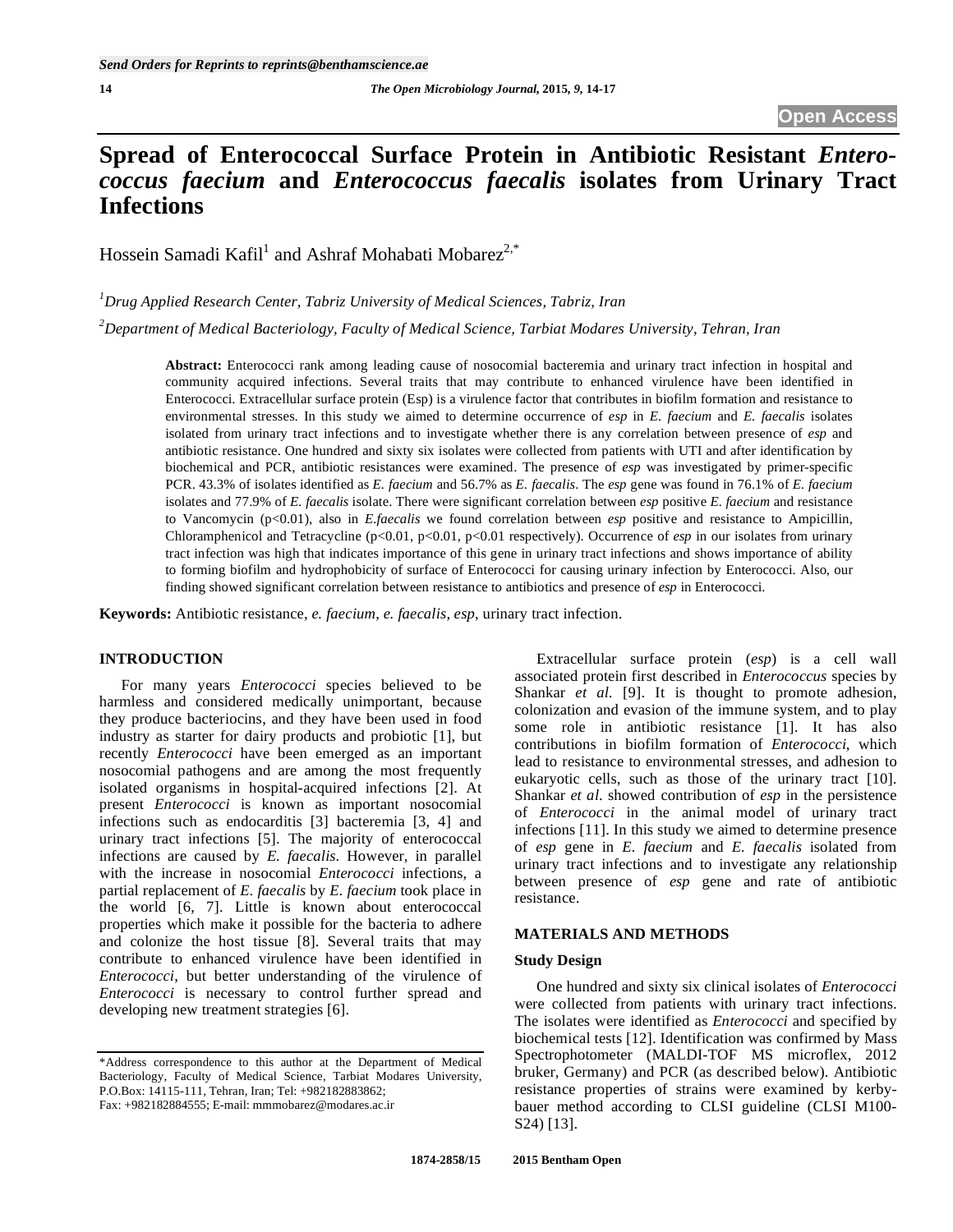# **Spread of Enterococcal Surface Protein in Antibiotic Resistant** *Enterococcus faecium* **and** *Enterococcus faecalis* **isolates from Urinary Tract Infections**

Hossein Samadi Kafil<sup>1</sup> and Ashraf Mohabati Mobarez<sup>2,\*</sup>

*1 Drug Applied Research Center, Tabriz University of Medical Sciences, Tabriz, Iran* 

*2 Department of Medical Bacteriology, Faculty of Medical Science, Tarbiat Modares University, Tehran, Iran* 

**Abstract:** Enterococci rank among leading cause of nosocomial bacteremia and urinary tract infection in hospital and community acquired infections. Several traits that may contribute to enhanced virulence have been identified in Enterococci. Extracellular surface protein (Esp) is a virulence factor that contributes in biofilm formation and resistance to environmental stresses. In this study we aimed to determine occurrence of *esp* in *E. faecium* and *E. faecalis* isolates isolated from urinary tract infections and to investigate whether there is any correlation between presence of *esp* and antibiotic resistance. One hundred and sixty six isolates were collected from patients with UTI and after identification by biochemical and PCR, antibiotic resistances were examined. The presence of *esp* was investigated by primer-specific PCR. 43.3% of isolates identified as *E. faecium* and 56.7% as *E. faecalis*. The *esp* gene was found in 76.1% of *E. faecium* isolates and 77.9% of *E. faecalis* isolate. There were significant correlation between *esp* positive *E. faecium* and resistance to Vancomycin (p<0.01), also in *E.faecalis* we found correlation between *esp* positive and resistance to Ampicillin, Chloramphenicol and Tetracycline (p<0.01, p<0.01, p<0.01 respectively). Occurrence of *esp* in our isolates from urinary tract infection was high that indicates importance of this gene in urinary tract infections and shows importance of ability to forming biofilm and hydrophobicity of surface of Enterococci for causing urinary infection by Enterococci. Also, our finding showed significant correlation between resistance to antibiotics and presence of *esp* in Enterococci.

**Keywords:** Antibiotic resistance, *e. faecium*, *e. faecalis, esp*, urinary tract infection.

# **INTRODUCTION**

 For many years *Enterococci* species believed to be harmless and considered medically unimportant, because they produce bacteriocins, and they have been used in food industry as starter for dairy products and probiotic [1], but recently *Enterococci* have been emerged as an important nosocomial pathogens and are among the most frequently isolated organisms in hospital-acquired infections [2]. At present *Enterococci* is known as important nosocomial infections such as endocarditis [3] bacteremia [3, 4] and urinary tract infections [5]. The majority of enterococcal infections are caused by *E. faecalis*. However, in parallel with the increase in nosocomial *Enterococci* infections, a partial replacement of *E. faecalis* by *E. faecium* took place in the world [6, 7]. Little is known about enterococcal properties which make it possible for the bacteria to adhere and colonize the host tissue [8]. Several traits that may contribute to enhanced virulence have been identified in *Enterococci*, but better understanding of the virulence of *Enterococci* is necessary to control further spread and developing new treatment strategies [6].

Fax: +982182884555; E-mail: mmmobarez@modares.ac.ir

 Extracellular surface protein (*esp*) is a cell wall associated protein first described in *Enterococcus* species by Shankar *et al.* [9]. It is thought to promote adhesion, colonization and evasion of the immune system, and to play some role in antibiotic resistance [1]. It has also contributions in biofilm formation of *Enterococci*, which lead to resistance to environmental stresses, and adhesion to eukaryotic cells, such as those of the urinary tract [10]. Shankar *et al*. showed contribution of *esp* in the persistence of *Enterococci* in the animal model of urinary tract infections [11]. In this study we aimed to determine presence of *esp* gene in *E. faecium* and *E. faecalis* isolated from urinary tract infections and to investigate any relationship between presence of *esp* gene and rate of antibiotic resistance.

# **MATERIALS AND METHODS**

## **Study Design**

 One hundred and sixty six clinical isolates of *Enterococci* were collected from patients with urinary tract infections. The isolates were identified as *Enterococci* and specified by biochemical tests [12]. Identification was confirmed by Mass Spectrophotometer (MALDI-TOF MS microflex, 2012 bruker, Germany) and PCR (as described below). Antibiotic resistance properties of strains were examined by kerbybauer method according to CLSI guideline (CLSI M100- S24) [13].

<sup>\*</sup>Address correspondence to this author at the Department of Medical Bacteriology, Faculty of Medical Science, Tarbiat Modares University, P.O.Box: 14115-111, Tehran, Iran; Tel: +982182883862;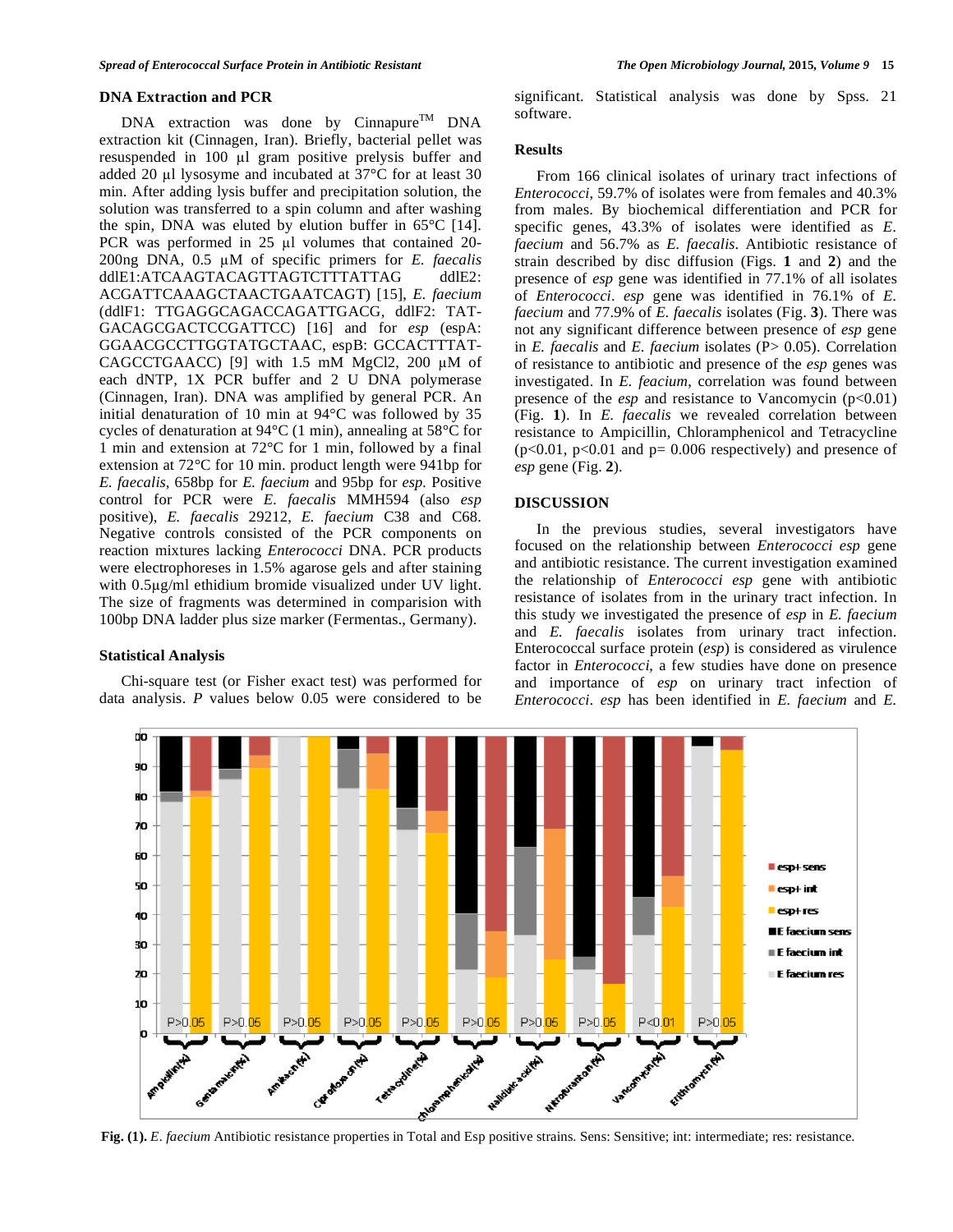## **DNA Extraction and PCR**

 $DNA$  extraction was done by Cinnapure<sup>TM</sup> DNA extraction kit (Cinnagen, Iran). Briefly, bacterial pellet was resuspended in 100 µl gram positive prelysis buffer and added 20  $\mu$ l lysosyme and incubated at 37°C for at least 30 min. After adding lysis buffer and precipitation solution, the solution was transferred to a spin column and after washing the spin, DNA was eluted by elution buffer in  $65^{\circ}$ C [14]. PCR was performed in  $25$  ul volumes that contained  $20$ -200ng DNA, 0.5 M of specific primers for *E. faecalis* ddlE1:ATCAAGTACAGTTAGTCTTTATTAG ddlE2: ACGATTCAAAGCTAACTGAATCAGT) [15], *E. faecium* (ddlF1: TTGAGGCAGACCAGATTGACG, ddlF2: TAT-GACAGCGACTCCGATTCC) [16] and for *esp* (espA: GGAACGCCTTGGTATGCTAAC, espB: GCCACTTTAT-CAGCCTGAACC) [9] with  $1.5$  mM MgCl2, 200  $\mu$ M of each dNTP, 1X PCR buffer and 2 U DNA polymerase (Cinnagen, Iran). DNA was amplified by general PCR. An initial denaturation of 10 min at 94°C was followed by 35 cycles of denaturation at 94°C (1 min), annealing at 58°C for 1 min and extension at 72°C for 1 min, followed by a final extension at 72°C for 10 min. product length were 941bp for *E. faecalis*, 658bp for *E. faecium* and 95bp for *esp.* Positive control for PCR were *E. faecalis* MMH594 (also *esp* positive), *E. faecalis* 29212, *E. faecium* C38 and C68. Negative controls consisted of the PCR components on reaction mixtures lacking *Enterococci* DNA. PCR products were electrophoreses in 1.5% agarose gels and after staining with 0.5µg/ml ethidium bromide visualized under UV light. The size of fragments was determined in comparision with 100bp DNA ladder plus size marker (Fermentas., Germany).

#### **Statistical Analysis**

 Chi-square test (or Fisher exact test) was performed for data analysis. *P* values below 0.05 were considered to be significant. Statistical analysis was done by Spss. 21 software.

# **Results**

 From 166 clinical isolates of urinary tract infections of *Enterococci*, 59.7% of isolates were from females and 40.3% from males. By biochemical differentiation and PCR for specific genes, 43.3% of isolates were identified as *E. faecium* and 56.7% as *E. faecalis*. Antibiotic resistance of strain described by disc diffusion (Figs. **1** and **2**) and the presence of *esp* gene was identified in 77.1% of all isolates of *Enterococci*. *esp* gene was identified in 76.1% of *E. faecium* and 77.9% of *E. faecalis* isolates (Fig. **3**). There was not any significant difference between presence of *esp* gene in *E. faecalis* and *E. faecium* isolates (P> 0.05). Correlation of resistance to antibiotic and presence of the *esp* genes was investigated. In *E. feacium*, correlation was found between presence of the *esp* and resistance to Vancomycin (p<0.01) (Fig. **1**). In *E. faecalis* we revealed correlation between resistance to Ampicillin, Chloramphenicol and Tetracycline  $(p<0.01, p<0.01$  and  $p= 0.006$  respectively) and presence of *esp* gene (Fig. **2**).

#### **DISCUSSION**

 In the previous studies, several investigators have focused on the relationship between *Enterococci esp* gene and antibiotic resistance. The current investigation examined the relationship of *Enterococci esp* gene with antibiotic resistance of isolates from in the urinary tract infection. In this study we investigated the presence of *esp* in *E. faecium* and *E. faecalis* isolates from urinary tract infection. Enterococcal surface protein (*esp*) is considered as virulence factor in *Enterococci*, a few studies have done on presence and importance of *esp* on urinary tract infection of *Enterococci*. *esp* has been identified in *E. faecium* and *E.* 



**Fig. (1).** *E. faecium* Antibiotic resistance properties in Total and Esp positive strains. Sens: Sensitive; int: intermediate; res: resistance.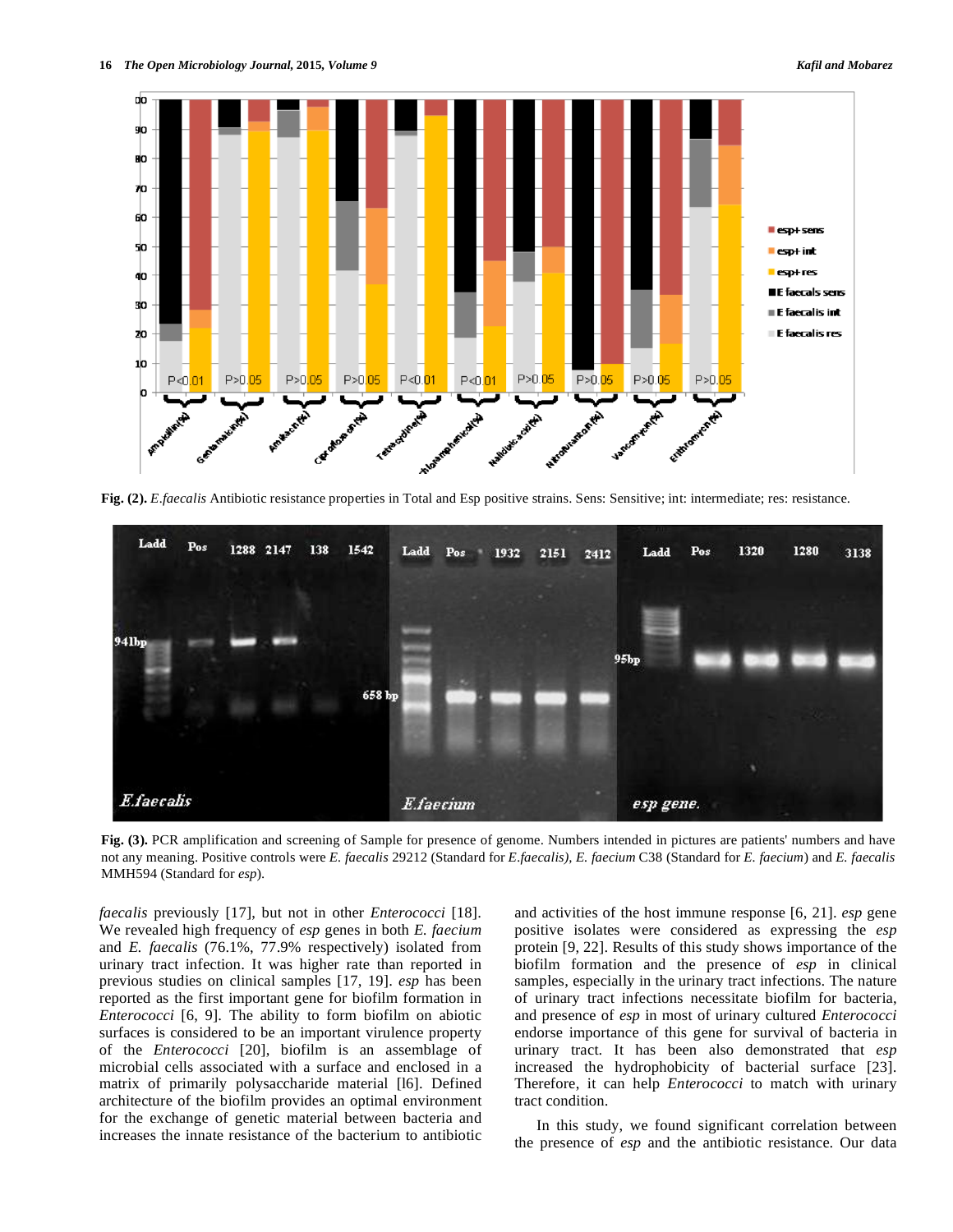

**Fig. (2).** *E.faecalis* Antibiotic resistance properties in Total and Esp positive strains. Sens: Sensitive; int: intermediate; res: resistance.



**Fig. (3).** PCR amplification and screening of Sample for presence of genome. Numbers intended in pictures are patients' numbers and have not any meaning. Positive controls were *E. faecalis* 29212 (Standard for *E.faecalis), E. faecium* C38 (Standard for *E. faecium*) and *E. faecalis* MMH594 (Standard for *esp*).

*faecalis* previously [17], but not in other *Enterococci* [18]. We revealed high frequency of *esp* genes in both *E. faecium* and *E. faecalis* (76.1%, 77.9% respectively) isolated from urinary tract infection. It was higher rate than reported in previous studies on clinical samples [17, 19]. *esp* has been reported as the first important gene for biofilm formation in *Enterococci* [6, 9]. The ability to form biofilm on abiotic surfaces is considered to be an important virulence property of the *Enterococci* [20], biofilm is an assemblage of microbial cells associated with a surface and enclosed in a matrix of primarily polysaccharide material [l6]. Defined architecture of the biofilm provides an optimal environment for the exchange of genetic material between bacteria and increases the innate resistance of the bacterium to antibiotic

and activities of the host immune response [6, 21]. *esp* gene positive isolates were considered as expressing the *esp* protein [9, 22]. Results of this study shows importance of the biofilm formation and the presence of *esp* in clinical samples, especially in the urinary tract infections. The nature of urinary tract infections necessitate biofilm for bacteria, and presence of *esp* in most of urinary cultured *Enterococci* endorse importance of this gene for survival of bacteria in urinary tract. It has been also demonstrated that *esp* increased the hydrophobicity of bacterial surface [23]. Therefore, it can help *Enterococci* to match with urinary tract condition.

 In this study, we found significant correlation between the presence of *esp* and the antibiotic resistance. Our data